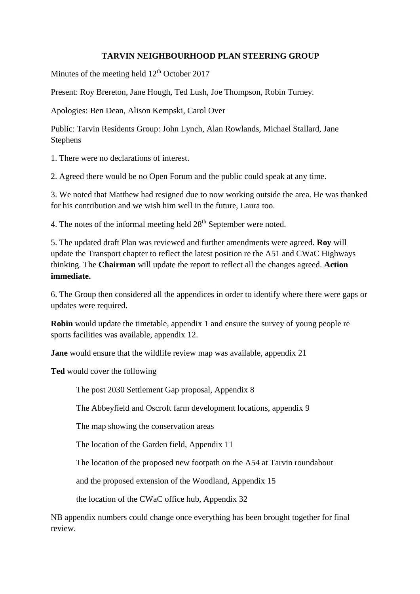## **TARVIN NEIGHBOURHOOD PLAN STEERING GROUP**

Minutes of the meeting held  $12<sup>th</sup>$  October 2017

Present: Roy Brereton, Jane Hough, Ted Lush, Joe Thompson, Robin Turney.

Apologies: Ben Dean, Alison Kempski, Carol Over

Public: Tarvin Residents Group: John Lynch, Alan Rowlands, Michael Stallard, Jane Stephens

1. There were no declarations of interest.

2. Agreed there would be no Open Forum and the public could speak at any time.

3. We noted that Matthew had resigned due to now working outside the area. He was thanked for his contribution and we wish him well in the future, Laura too.

4. The notes of the informal meeting held  $28<sup>th</sup>$  September were noted.

5. The updated draft Plan was reviewed and further amendments were agreed. **Roy** will update the Transport chapter to reflect the latest position re the A51 and CWaC Highways thinking. The **Chairman** will update the report to reflect all the changes agreed. **Action immediate.**

6. The Group then considered all the appendices in order to identify where there were gaps or updates were required.

**Robin** would update the timetable, appendix 1 and ensure the survey of young people re sports facilities was available, appendix 12.

**Jane** would ensure that the wildlife review map was available, appendix 21

**Ted** would cover the following

The post 2030 Settlement Gap proposal, Appendix 8

The Abbeyfield and Oscroft farm development locations, appendix 9

The map showing the conservation areas

The location of the Garden field, Appendix 11

The location of the proposed new footpath on the A54 at Tarvin roundabout

and the proposed extension of the Woodland, Appendix 15

the location of the CWaC office hub, Appendix 32

NB appendix numbers could change once everything has been brought together for final review.